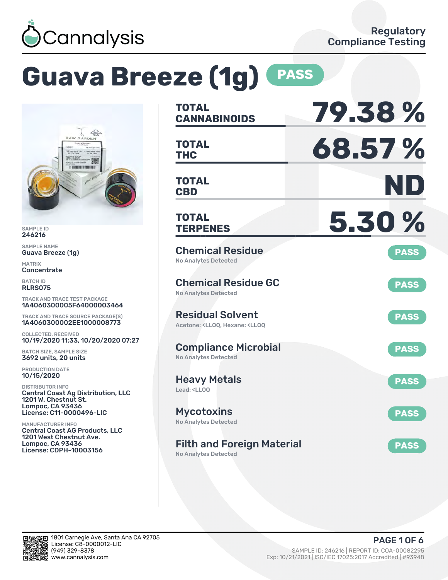

# **Guava Breeze (1g) PASS**



SAMPLE ID 246216

SAMPLE NAME Guava Breeze (1g)

MATRIX **Concentrate** 

BATCH ID RLRS075

TRACK AND TRACE TEST PACKAGE 1A4060300005F64000003464

TRACK AND TRACE SOURCE PACKAGE(S) 1A4060300002EE1000008773

COLLECTED, RECEIVED 10/19/2020 11:33, 10/20/2020 07:27

BATCH SIZE, SAMPLE SIZE 3692 units, 20 units

PRODUCTION DATE 10/15/2020

DISTRIBUTOR INFO Central Coast Ag Distribution, LLC 1201 W. Chestnut St. Lompoc, CA 93436 License: C11-0000496-LIC

MANUFACTURER INFO Central Coast AG Products, LLC 1201 West Chestnut Ave. Lompoc, CA 93436 License: CDPH-10003156

| <b>TOTAL</b><br><b>CANNABINOIDS</b>                                                                | 79.38%      |
|----------------------------------------------------------------------------------------------------|-------------|
| <b>TOTAL</b><br><b>THC</b>                                                                         | 68.57%      |
| <b>TOTAL</b><br><b>CBD</b>                                                                         | ND          |
| <b>TOTAL</b><br><b>TERPENES</b>                                                                    | 5.30%       |
| <b>Chemical Residue</b><br>No Analytes Detected                                                    | <b>PASS</b> |
| <b>Chemical Residue GC</b><br><b>No Analytes Detected</b>                                          | <b>PASS</b> |
| <b>Residual Solvent</b><br>Acetone: <lloq, <lloq<="" hexane:="" td=""><td><b>PASS</b></td></lloq,> | <b>PASS</b> |
| <b>Compliance Microbial</b><br><b>No Analytes Detected</b>                                         | <b>PASS</b> |
| <b>Heavy Metals</b><br>Lead: <ll00< td=""><td><b>PASS</b></td></ll00<>                             | <b>PASS</b> |
| <b>Mycotoxins</b><br>No Analytes Detected                                                          | <b>PASS</b> |
| <b>Filth and Foreign Material</b><br><b>No Analytes Detected</b>                                   | <b>PASS</b> |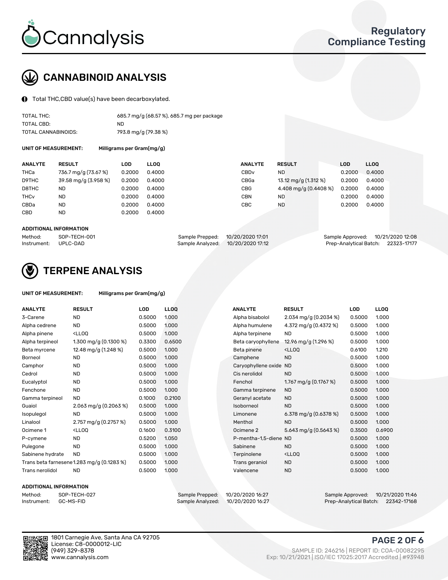

### CANNABINOID ANALYSIS

Total THC,CBD value(s) have been decarboxylated.

| TOTAL THC:          | 685.7 mg/g (68.57 %), 685.7 mg per package |
|---------------------|--------------------------------------------|
| TOTAL CBD:          | ND.                                        |
| TOTAL CANNABINOIDS: | 793.8 mg/g (79.38 %)                       |

UNIT OF MEASUREMENT: Milligrams per Gram(mg/g)

| <b>ANALYTE</b>         | <b>RESULT</b>        | LOD    | <b>LLOO</b> | <b>ANALYTE</b>   | <b>RESULT</b>         | <b>LOD</b> | LL <sub>00</sub> |
|------------------------|----------------------|--------|-------------|------------------|-----------------------|------------|------------------|
| THCa                   | 736.7 mg/g (73.67 %) | 0.2000 | 0.4000      | CBD <sub>v</sub> | <b>ND</b>             | 0.2000     | 0.4000           |
| D9THC                  | 39.58 mg/g (3.958 %) | 0.2000 | 0.4000      | CBGa             | 13.12 mg/g (1.312 %)  | 0.2000     | 0.4000           |
| D8THC                  | ND                   | 0.2000 | 0.4000      | CBG              | 4.408 mg/g (0.4408 %) | 0.2000     | 0.4000           |
| <b>THC<sub>v</sub></b> | <b>ND</b>            | 0.2000 | 0.4000      | CBN              | <b>ND</b>             | 0.2000     | 0.4000           |
| CBDa                   | <b>ND</b>            | 0.2000 | 0.4000      | CBC              | <b>ND</b>             | 0.2000     | 0.4000           |
| <b>CBD</b>             | ND.                  | 0.2000 | 0.4000      |                  |                       |            |                  |
|                        |                      |        |             |                  |                       |            |                  |

#### ADDITIONAL INFORMATION

| Method:              | SOP-TECH-001 | Sample Prepped: 10/20/2020 17:01  | Sample Approved: 10/21/2020 12:08  |  |
|----------------------|--------------|-----------------------------------|------------------------------------|--|
| Instrument: UPLC-DAD |              | Sample Analyzed: 10/20/2020 17:12 | Prep-Analytical Batch: 22323-17177 |  |



### TERPENE ANALYSIS

| UNIT OF MEASUREMENT: | Milligrams per Gram(mg/g) |
|----------------------|---------------------------|
|----------------------|---------------------------|

| <b>ANALYTE</b>   | <b>RESULT</b>                                                                                                                     | <b>LOD</b> | <b>LLOQ</b> | <b>ANALYTE</b>         | <b>RESULT</b>                                      | LOD    | <b>LLOQ</b> |
|------------------|-----------------------------------------------------------------------------------------------------------------------------------|------------|-------------|------------------------|----------------------------------------------------|--------|-------------|
| 3-Carene         | <b>ND</b>                                                                                                                         | 0.5000     | 1.000       | Alpha bisabolol        | 2.034 mg/g $(0.2034\%)$                            | 0.5000 | 1.000       |
| Alpha cedrene    | <b>ND</b>                                                                                                                         | 0.5000     | 1.000       | Alpha humulene         | 4.372 mg/g $(0.4372%)$                             | 0.5000 | 1.000       |
| Alpha pinene     | <ll0q< td=""><td>0.5000</td><td>1.000</td><td>Alpha terpinene</td><td><b>ND</b></td><td>0.5000</td><td>1.000</td></ll0q<>         | 0.5000     | 1.000       | Alpha terpinene        | <b>ND</b>                                          | 0.5000 | 1.000       |
| Alpha terpineol  | 1.300 mg/g $(0.1300\%)$                                                                                                           | 0.3300     | 0.6500      | Beta caryophyllene     | 12.96 mg/g (1.296 %)                               | 0.5000 | 1.000       |
| Beta myrcene     | 12.48 mg/g (1.248 %)                                                                                                              | 0.5000     | 1.000       | Beta pinene            | <ll0q< td=""><td>0.6100</td><td>1.210</td></ll0q<> | 0.6100 | 1.210       |
| Borneol          | <b>ND</b>                                                                                                                         | 0.5000     | 1.000       | Camphene               | <b>ND</b>                                          | 0.5000 | 1.000       |
| Camphor          | <b>ND</b>                                                                                                                         | 0.5000     | 1.000       | Caryophyllene oxide ND |                                                    | 0.5000 | 1.000       |
| Cedrol           | <b>ND</b>                                                                                                                         | 0.5000     | 1.000       | Cis nerolidol          | <b>ND</b>                                          | 0.5000 | 1.000       |
| Eucalyptol       | <b>ND</b>                                                                                                                         | 0.5000     | 1.000       | Fenchol                | 1.767 mg/g (0.1767 %)                              | 0.5000 | 1.000       |
| Fenchone         | <b>ND</b>                                                                                                                         | 0.5000     | 1.000       | Gamma terpinene        | <b>ND</b>                                          | 0.5000 | 1.000       |
| Gamma terpineol  | ND.                                                                                                                               | 0.1000     | 0.2100      | Geranyl acetate        | <b>ND</b>                                          | 0.5000 | 1.000       |
| Guaiol           | 2.063 mg/g $(0.2063\%)$                                                                                                           | 0.5000     | 1.000       | Isoborneol             | <b>ND</b>                                          | 0.5000 | 1.000       |
| Isopulegol       | <b>ND</b>                                                                                                                         | 0.5000     | 1.000       | Limonene               | 6.378 mg/g $(0.6378\%)$                            | 0.5000 | 1.000       |
| Linalool         | 2.757 mg/g (0.2757 %)                                                                                                             | 0.5000     | 1.000       | Menthol                | <b>ND</b>                                          | 0.5000 | 1.000       |
| Ocimene 1        | <lloq< td=""><td>0.1600</td><td>0.3100</td><td>Ocimene 2</td><td>5.643 mg/g (0.5643 %)</td><td>0.3500</td><td>0.6900</td></lloq<> | 0.1600     | 0.3100      | Ocimene 2              | 5.643 mg/g (0.5643 %)                              | 0.3500 | 0.6900      |
| P-cymene         | <b>ND</b>                                                                                                                         | 0.5200     | 1.050       | P-mentha-1,5-diene ND  |                                                    | 0.5000 | 1.000       |
| Pulegone         | <b>ND</b>                                                                                                                         | 0.5000     | 1.000       | Sabinene               | <b>ND</b>                                          | 0.5000 | 1.000       |
| Sabinene hydrate | <b>ND</b>                                                                                                                         | 0.5000     | 1.000       | Terpinolene            | <ll0q< td=""><td>0.5000</td><td>1.000</td></ll0q<> | 0.5000 | 1.000       |
|                  | Trans beta farnesene1.283 mg/g (0.1283 %)                                                                                         | 0.5000     | 1.000       | Trans geraniol         | <b>ND</b>                                          | 0.5000 | 1.000       |
| Trans nerolidol  | <b>ND</b>                                                                                                                         | 0.5000     | 1.000       | Valencene              | <b>ND</b>                                          | 0.5000 | 1.000       |

#### ADDITIONAL INFORMATION

| Method:     | SOP-TECH |
|-------------|----------|
| Instrument: | GC-MS-FI |

Method: SOP-TECH-027 Sample Prepped: 10/20/2020 16:27 Sample Approved: 10/21/2020 11:46 Prep-Analytical Batch: 22342-17168



1801 Carnegie Ave, Santa Ana CA 92705 License: C8-0000012-LIC<br>(949) 329-8378

#### PAGE 2 OF 6

(949) 329-8378 SAMPLE ID: 246216 | REPORT ID: COA-00082295 Exp: 10/21/2021 | ISO/IEC 17025:2017 Accredited | #93948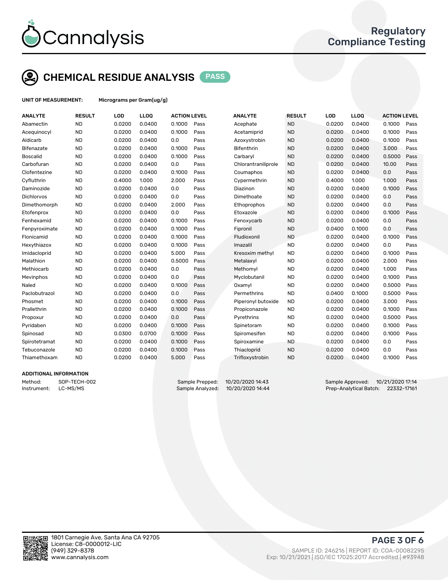

### CHEMICAL RESIDUE ANALYSIS PASS

UNIT OF MEASUREMENT: Micrograms per Gram(ug/g)

| <b>ANALYTE</b>  | <b>RESULT</b> | LOD    | <b>LLOO</b> | <b>ACTION LEVEL</b> |      | <b>ANALYTE</b>      | <b>RESULT</b> | LOD    | <b>LLOQ</b> | <b>ACTION LEVEL</b> |      |
|-----------------|---------------|--------|-------------|---------------------|------|---------------------|---------------|--------|-------------|---------------------|------|
| Abamectin       | <b>ND</b>     | 0.0200 | 0.0400      | 0.1000              | Pass | Acephate            | <b>ND</b>     | 0.0200 | 0.0400      | 0.1000              | Pass |
| Acequinocyl     | <b>ND</b>     | 0.0200 | 0.0400      | 0.1000              | Pass | Acetamiprid         | <b>ND</b>     | 0.0200 | 0.0400      | 0.1000              | Pass |
| Aldicarb        | <b>ND</b>     | 0.0200 | 0.0400      | 0.0                 | Pass | Azoxystrobin        | <b>ND</b>     | 0.0200 | 0.0400      | 0.1000              | Pass |
| Bifenazate      | <b>ND</b>     | 0.0200 | 0.0400      | 0.1000              | Pass | <b>Bifenthrin</b>   | <b>ND</b>     | 0.0200 | 0.0400      | 3.000               | Pass |
| <b>Boscalid</b> | <b>ND</b>     | 0.0200 | 0.0400      | 0.1000              | Pass | Carbaryl            | <b>ND</b>     | 0.0200 | 0.0400      | 0.5000              | Pass |
| Carbofuran      | <b>ND</b>     | 0.0200 | 0.0400      | 0.0                 | Pass | Chlorantraniliprole | <b>ND</b>     | 0.0200 | 0.0400      | 10.00               | Pass |
| Clofentezine    | <b>ND</b>     | 0.0200 | 0.0400      | 0.1000              | Pass | Coumaphos           | <b>ND</b>     | 0.0200 | 0.0400      | 0.0                 | Pass |
| Cyfluthrin      | <b>ND</b>     | 0.4000 | 1.000       | 2.000               | Pass | Cypermethrin        | <b>ND</b>     | 0.4000 | 1.000       | 1.000               | Pass |
| Daminozide      | <b>ND</b>     | 0.0200 | 0.0400      | 0.0                 | Pass | Diazinon            | <b>ND</b>     | 0.0200 | 0.0400      | 0.1000              | Pass |
| Dichlorvos      | <b>ND</b>     | 0.0200 | 0.0400      | 0.0                 | Pass | Dimethoate          | <b>ND</b>     | 0.0200 | 0.0400      | 0.0                 | Pass |
| Dimethomorph    | <b>ND</b>     | 0.0200 | 0.0400      | 2.000               | Pass | Ethoprophos         | <b>ND</b>     | 0.0200 | 0.0400      | 0.0                 | Pass |
| Etofenprox      | <b>ND</b>     | 0.0200 | 0.0400      | 0.0                 | Pass | Etoxazole           | <b>ND</b>     | 0.0200 | 0.0400      | 0.1000              | Pass |
| Fenhexamid      | <b>ND</b>     | 0.0200 | 0.0400      | 0.1000              | Pass | Fenoxycarb          | <b>ND</b>     | 0.0200 | 0.0400      | 0.0                 | Pass |
| Fenpyroximate   | <b>ND</b>     | 0.0200 | 0.0400      | 0.1000              | Pass | Fipronil            | <b>ND</b>     | 0.0400 | 0.1000      | 0.0                 | Pass |
| Flonicamid      | <b>ND</b>     | 0.0200 | 0.0400      | 0.1000              | Pass | Fludioxonil         | <b>ND</b>     | 0.0200 | 0.0400      | 0.1000              | Pass |
| Hexythiazox     | <b>ND</b>     | 0.0200 | 0.0400      | 0.1000              | Pass | Imazalil            | <b>ND</b>     | 0.0200 | 0.0400      | 0.0                 | Pass |
| Imidacloprid    | <b>ND</b>     | 0.0200 | 0.0400      | 5.000               | Pass | Kresoxim methyl     | <b>ND</b>     | 0.0200 | 0.0400      | 0.1000              | Pass |
| Malathion       | <b>ND</b>     | 0.0200 | 0.0400      | 0.5000              | Pass | Metalaxyl           | <b>ND</b>     | 0.0200 | 0.0400      | 2.000               | Pass |
| Methiocarb      | <b>ND</b>     | 0.0200 | 0.0400      | 0.0                 | Pass | Methomyl            | <b>ND</b>     | 0.0200 | 0.0400      | 1.000               | Pass |
| Mevinphos       | <b>ND</b>     | 0.0200 | 0.0400      | 0.0                 | Pass | Myclobutanil        | <b>ND</b>     | 0.0200 | 0.0400      | 0.1000              | Pass |
| Naled           | <b>ND</b>     | 0.0200 | 0.0400      | 0.1000              | Pass | Oxamyl              | <b>ND</b>     | 0.0200 | 0.0400      | 0.5000              | Pass |
| Paclobutrazol   | <b>ND</b>     | 0.0200 | 0.0400      | 0.0                 | Pass | Permethrins         | <b>ND</b>     | 0.0400 | 0.1000      | 0.5000              | Pass |
| Phosmet         | <b>ND</b>     | 0.0200 | 0.0400      | 0.1000              | Pass | Piperonyl butoxide  | <b>ND</b>     | 0.0200 | 0.0400      | 3.000               | Pass |
| Prallethrin     | <b>ND</b>     | 0.0200 | 0.0400      | 0.1000              | Pass | Propiconazole       | <b>ND</b>     | 0.0200 | 0.0400      | 0.1000              | Pass |
| Propoxur        | <b>ND</b>     | 0.0200 | 0.0400      | 0.0                 | Pass | Pyrethrins          | <b>ND</b>     | 0.0200 | 0.0400      | 0.5000              | Pass |
| Pyridaben       | <b>ND</b>     | 0.0200 | 0.0400      | 0.1000              | Pass | Spinetoram          | <b>ND</b>     | 0.0200 | 0.0400      | 0.1000              | Pass |
| Spinosad        | <b>ND</b>     | 0.0300 | 0.0700      | 0.1000              | Pass | Spiromesifen        | <b>ND</b>     | 0.0200 | 0.0400      | 0.1000              | Pass |
| Spirotetramat   | <b>ND</b>     | 0.0200 | 0.0400      | 0.1000              | Pass | Spiroxamine         | <b>ND</b>     | 0.0200 | 0.0400      | 0.0                 | Pass |
| Tebuconazole    | <b>ND</b>     | 0.0200 | 0.0400      | 0.1000              | Pass | Thiacloprid         | <b>ND</b>     | 0.0200 | 0.0400      | 0.0                 | Pass |
| Thiamethoxam    | <b>ND</b>     | 0.0200 | 0.0400      | 5.000               | Pass | Trifloxystrobin     | <b>ND</b>     | 0.0200 | 0.0400      | 0.1000              | Pass |
|                 |               |        |             |                     |      |                     |               |        |             |                     |      |

#### ADDITIONAL INFORMATION

Method: SOP-TECH-002 Sample Prepped: 10/20/2020 14:43 Sample Approved: 10/21/2020 17:14 Instrument: LC-MS/MS Sample Analyzed: 10/20/2020 14:44 Prep-Analytical Batch: 22332-17161



PAGE 3 OF 6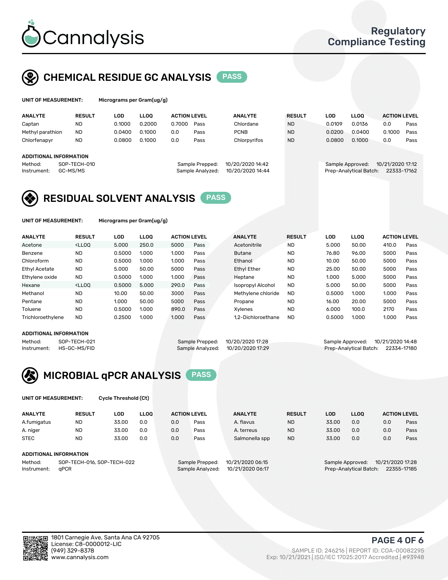

### CHEMICAL RESIDUE GC ANALYSIS PASS

| UNIT OF MEASUREMENT: | Microg |
|----------------------|--------|
|                      |        |

yrams per Gram(ug/g)

| <b>ANALYTE</b>         | <b>RESULT</b>            | <b>LOD</b> | <b>LLOO</b> | <b>ACTION LEVEL</b> |                                     | <b>ANALYTE</b>                       | <b>RESULT</b> | <b>LOD</b>       | <b>LLOO</b>            | <b>ACTION LEVEL</b>             |      |
|------------------------|--------------------------|------------|-------------|---------------------|-------------------------------------|--------------------------------------|---------------|------------------|------------------------|---------------------------------|------|
| Captan                 | <b>ND</b>                | 0.1000     | 0.2000      | 0.7000              | Pass                                | Chlordane                            | <b>ND</b>     | 0.0109           | 0.0136                 | 0.0                             | Pass |
| Methyl parathion       | <b>ND</b>                | 0.0400     | 0.1000      | 0.0                 | Pass                                | <b>PCNB</b>                          | <b>ND</b>     | 0.0200           | 0.0400                 | 0.1000                          | Pass |
| Chlorfenapyr           | <b>ND</b>                | 0.0800     | 0.1000      | 0.0                 | Pass                                | Chlorpyrifos                         | <b>ND</b>     | 0.0800           | 0.1000                 | 0.0                             | Pass |
| ADDITIONAL INFORMATION |                          |            |             |                     |                                     |                                      |               |                  |                        |                                 |      |
| Method:<br>Instrument: | SOP-TECH-010<br>GC-MS/MS |            |             |                     | Sample Prepped:<br>Sample Analyzed: | 10/20/2020 14:42<br>10/20/2020 14:44 |               | Sample Approved: | Prep-Analytical Batch: | 10/21/2020 17:12<br>22333-17162 |      |

### RESIDUAL SOLVENT ANALYSIS PASS

UNIT OF MEASUREMENT: Micrograms per Gram(ug/g)

| <b>ANALYTE</b>       | <b>RESULT</b>                                                                                                                                                                          | LOD    | <b>LLOO</b> | <b>ACTION LEVEL</b> |      | <b>ANALYTE</b>           | <b>RESULT</b> | LOD    | <b>LLOO</b> | <b>ACTION LEVEL</b> |      |
|----------------------|----------------------------------------------------------------------------------------------------------------------------------------------------------------------------------------|--------|-------------|---------------------|------|--------------------------|---------------|--------|-------------|---------------------|------|
| Acetone              | <lloo< td=""><td>5.000</td><td>250.0</td><td>5000</td><td>Pass</td><td>Acetonitrile</td><td><b>ND</b></td><td>5.000</td><td>50.00</td><td>410.0</td><td>Pass</td></lloo<>              | 5.000  | 250.0       | 5000                | Pass | Acetonitrile             | <b>ND</b>     | 5.000  | 50.00       | 410.0               | Pass |
| Benzene              | <b>ND</b>                                                                                                                                                                              | 0.5000 | 1.000       | 1.000               | Pass | <b>Butane</b>            | <b>ND</b>     | 76.80  | 96.00       | 5000                | Pass |
| Chloroform           | <b>ND</b>                                                                                                                                                                              | 0.5000 | 1.000       | 1.000               | Pass | Ethanol                  | <b>ND</b>     | 10.00  | 50.00       | 5000                | Pass |
| <b>Ethyl Acetate</b> | <b>ND</b>                                                                                                                                                                              | 5.000  | 50.00       | 5000                | Pass | <b>Ethyl Ether</b>       | <b>ND</b>     | 25.00  | 50.00       | 5000                | Pass |
| Ethylene oxide       | <b>ND</b>                                                                                                                                                                              | 0.5000 | 1.000       | 1.000               | Pass | Heptane                  | <b>ND</b>     | 1.000  | 5.000       | 5000                | Pass |
| Hexane               | <lloo< td=""><td>0.5000</td><td>5.000</td><td>290.0</td><td>Pass</td><td><b>Isopropyl Alcohol</b></td><td><b>ND</b></td><td>5.000</td><td>50.00</td><td>5000</td><td>Pass</td></lloo<> | 0.5000 | 5.000       | 290.0               | Pass | <b>Isopropyl Alcohol</b> | <b>ND</b>     | 5.000  | 50.00       | 5000                | Pass |
| Methanol             | <b>ND</b>                                                                                                                                                                              | 10.00  | 50.00       | 3000                | Pass | Methylene chloride       | <b>ND</b>     | 0.5000 | 1.000       | 1.000               | Pass |
| Pentane              | <b>ND</b>                                                                                                                                                                              | 1.000  | 50.00       | 5000                | Pass | Propane                  | <b>ND</b>     | 16.00  | 20.00       | 5000                | Pass |
| Toluene              | <b>ND</b>                                                                                                                                                                              | 0.5000 | 1.000       | 890.0               | Pass | Xvlenes                  | <b>ND</b>     | 6.000  | 100.0       | 2170                | Pass |
| Trichloroethylene    | <b>ND</b>                                                                                                                                                                              | 0.2500 | 1.000       | 1.000               | Pass | 1.2-Dichloroethane       | <b>ND</b>     | 0.5000 | 1.000       | 1.000               | Pass |
|                      |                                                                                                                                                                                        |        |             |                     |      |                          |               |        |             |                     |      |

#### ADDITIONAL INFORMATION

Method: SOP-TECH-021 Sample Prepped: 10/20/2020 17:28 Sample Approved: 10/21/2020 14:48<br>Instrument: HS-GC-MS/FID Sample Analyzed: 10/20/2020 17:29 Prep-Analytical Batch: 22334-17180 Prep-Analytical Batch: 22334-17180



UNIT OF MEASUREMENT: Cycle Threshold (Ct)

| <b>ANALYTE</b>                        | <b>RESULT</b>          | LOD   | <b>LLOO</b> | <b>ACTION LEVEL</b> |                  | <b>ANALYTE</b> | <b>RESULT</b> | LOD              | <b>LLOO</b>      |     | <b>ACTION LEVEL</b> |
|---------------------------------------|------------------------|-------|-------------|---------------------|------------------|----------------|---------------|------------------|------------------|-----|---------------------|
| A.fumigatus                           | <b>ND</b>              | 33.00 | 0.0         | 0.0                 | Pass             | A. flavus      | <b>ND</b>     | 33.00            | 0.0              | 0.0 | Pass                |
| A. niger                              | <b>ND</b>              | 33.00 | 0.0         | 0.0                 | Pass             | A. terreus     | <b>ND</b>     | 33.00            | 0.0              | 0.0 | Pass                |
| <b>STEC</b>                           | <b>ND</b>              | 33.00 | 0.0         | 0.0                 | Pass             | Salmonella spp | <b>ND</b>     | 33.00            | 0.0              | 0.0 | Pass                |
|                                       | ADDITIONAL INFORMATION |       |             |                     |                  |                |               |                  |                  |     |                     |
| Method:<br>SOP-TECH-016, SOP-TECH-022 |                        |       |             | Sample Prepped:     | 10/21/2020 06:15 |                |               | Sample Approved: | 10/21/2020 17:28 |     |                     |

Instrument: qPCR Sample Analyzed: 10/21/2020 06:17 Prep-Analytical Batch: 22355-17185

PAGE 4 OF 6

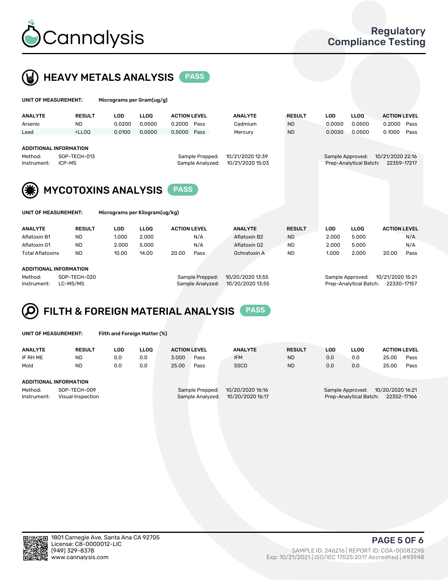



UNIT OF MEASUREMENT: Micrograms per Kilogram(ug/kg)

| UNIT OF MEASUREMENT:                                                              |                                                                                                                                                                              | Micrograms per Gram(ug/g) |             |                     |                                     |                                      |               |            |                                            |                                 |      |
|-----------------------------------------------------------------------------------|------------------------------------------------------------------------------------------------------------------------------------------------------------------------------|---------------------------|-------------|---------------------|-------------------------------------|--------------------------------------|---------------|------------|--------------------------------------------|---------------------------------|------|
| <b>ANALYTE</b>                                                                    | <b>RESULT</b>                                                                                                                                                                | <b>LOD</b>                | <b>LLOO</b> | <b>ACTION LEVEL</b> |                                     | <b>ANALYTE</b>                       | <b>RESULT</b> | <b>LOD</b> | <b>LLOO</b>                                | <b>ACTION LEVEL</b>             |      |
| Arsenic                                                                           | <b>ND</b>                                                                                                                                                                    | 0.0200                    | 0.0500      | 0.2000              | Pass                                | Cadmium                              | <b>ND</b>     | 0.0050     | 0.0500                                     | 0.2000                          | Pass |
| Lead                                                                              | <lloo< td=""><td>0.0100</td><td>0.0500</td><td>0.5000 Pass</td><td></td><td>Mercury</td><td><b>ND</b></td><td>0.0030</td><td>0.0500</td><td>0.1000</td><td>Pass</td></lloo<> | 0.0100                    | 0.0500      | 0.5000 Pass         |                                     | Mercury                              | <b>ND</b>     | 0.0030     | 0.0500                                     | 0.1000                          | Pass |
| <b>ADDITIONAL INFORMATION</b><br>SOP-TECH-013<br>Method:<br>ICP-MS<br>Instrument: |                                                                                                                                                                              |                           |             |                     | Sample Prepped:<br>Sample Analyzed: | 10/21/2020 12:39<br>10/21/2020 15:03 |               |            | Sample Approved:<br>Prep-Analytical Batch: | 10/21/2020 22:16<br>22359-17217 |      |
| (業)<br><b>MYCOTOXINS ANALYSIS</b><br><b>PASS</b>                                  |                                                                                                                                                                              |                           |             |                     |                                     |                                      |               |            |                                            |                                 |      |

| <b>ANALYTE</b>                | <b>RESULT</b> | LOD             | <b>LLOO</b> | <b>ACTION LEVEL</b> |      | <b>ANALYTE</b>   | <b>RESULT</b> | LOD.             | <b>LLOO</b> | <b>ACTION LEVEL</b> |      |
|-------------------------------|---------------|-----------------|-------------|---------------------|------|------------------|---------------|------------------|-------------|---------------------|------|
| Aflatoxin B1                  | ND            | 1.000           | 2.000       | N/A                 |      | Aflatoxin B2     | <b>ND</b>     | 2.000            | 5.000       |                     | N/A  |
| Aflatoxin G1                  | <b>ND</b>     | 2.000           | 5.000       | N/A                 |      | Aflatoxin G2     | <b>ND</b>     | 2.000            | 5.000       |                     | N/A  |
| <b>Total Aflatoxins</b>       | <b>ND</b>     | 10.00           | 14.00       | 20.00               | Pass | Ochratoxin A     | <b>ND</b>     | 1.000            | 2.000       | 20.00               | Pass |
|                               |               |                 |             |                     |      |                  |               |                  |             |                     |      |
| <b>ADDITIONAL INFORMATION</b> |               |                 |             |                     |      |                  |               |                  |             |                     |      |
| SOP-TECH-020<br>Method:       |               | Sample Prepped: |             | 10/20/2020 13:55    |      | Sample Approved: |               | 10/21/2020 15:21 |             |                     |      |

## Instrument: LC-MS/MS Sample Analyzed: 10/20/2020 13:55 Prep-Analytical Batch: 22330-17157

### FILTH & FOREIGN MATERIAL ANALYSIS PASS

| UNIT OF MEASUREMENT: | Filth |
|----------------------|-------|
|                      |       |

and Foreign Matter (%)

| <b>ANALYTE</b>                    | <b>RESULT</b> | LOD | <b>LLOO</b> | <b>ACTION LEVEL</b>                  |                 | <b>ANALYTE</b>   | <b>RESULT</b>                         | <b>LOD</b> | <b>LLOO</b>      | <b>ACTION LEVEL</b> |      |
|-----------------------------------|---------------|-----|-------------|--------------------------------------|-----------------|------------------|---------------------------------------|------------|------------------|---------------------|------|
| IF RH ME                          | <b>ND</b>     | 0.0 | 0.0         | 3.000                                | Pass            | <b>IFM</b>       | <b>ND</b>                             | 0.0        | 0.0              | 25.00               | Pass |
| Mold                              | <b>ND</b>     | 0.0 | 0.0         | 25.00                                | Pass            | <b>SSCD</b>      | <b>ND</b>                             | 0.0        | 0.0              | 25.00               | Pass |
| ADDITIONAL INFORMATION<br>Method: | SOP-TECH-009  |     |             |                                      | Sample Prepped: | 10/20/2020 16:16 |                                       |            | Sample Approved: | 10/20/2020 16:21    |      |
| Instrument:<br>Visual Inspection  |               |     |             | 10/20/2020 16:17<br>Sample Analyzed: |                 |                  | Prep-Analytical Batch:<br>22352-17166 |            |                  |                     |      |